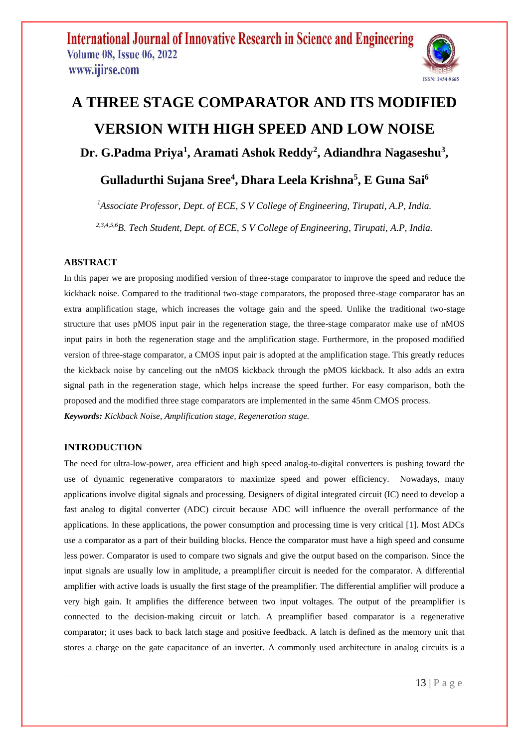

# **A THREE STAGE COMPARATOR AND ITS MODIFIED VERSION WITH HIGH SPEED AND LOW NOISE**

**Dr. G.Padma Priya<sup>1</sup> , Aramati Ashok Reddy<sup>2</sup> , Adiandhra Nagaseshu<sup>3</sup> ,** 

### **Gulladurthi Sujana Sree<sup>4</sup> , Dhara Leela Krishna<sup>5</sup> , E Guna Sai<sup>6</sup>**

*<sup>1</sup>Associate Professor, Dept. of ECE, S V College of Engineering, Tirupati, A.P, India. 2,3,4,5,6B. Tech Student, Dept. of ECE, S V College of Engineering, Tirupati, A.P, India.*

### **ABSTRACT**

In this paper we are proposing modified version of three-stage comparator to improve the speed and reduce the kickback noise. Compared to the traditional two-stage comparators, the proposed three-stage comparator has an extra amplification stage, which increases the voltage gain and the speed. Unlike the traditional two-stage structure that uses pMOS input pair in the regeneration stage, the three-stage comparator make use of nMOS input pairs in both the regeneration stage and the amplification stage. Furthermore, in the proposed modified version of three-stage comparator, a CMOS input pair is adopted at the amplification stage. This greatly reduces the kickback noise by canceling out the nMOS kickback through the pMOS kickback. It also adds an extra signal path in the regeneration stage, which helps increase the speed further. For easy comparison, both the proposed and the modified three stage comparators are implemented in the same 45nm CMOS process. *Keywords: Kickback Noise, Amplification stage, Regeneration stage.*

### **INTRODUCTION**

The need for ultra-low-power, area efficient and high speed analog-to-digital converters is pushing toward the use of dynamic regenerative comparators to maximize speed and power efficiency. Nowadays, many applications involve digital signals and processing. Designers of digital integrated circuit (IC) need to develop a fast analog to digital converter (ADC) circuit because ADC will influence the overall performance of the applications. In these applications, the power consumption and processing time is very critical [1]. Most ADCs use a comparator as a part of their building blocks. Hence the comparator must have a high speed and consume less power. Comparator is used to compare two signals and give the output based on the comparison. Since the input signals are usually low in amplitude, a preamplifier circuit is needed for the comparator. A differential amplifier with active loads is usually the first stage of the preamplifier. The differential amplifier will produce a very high gain. It amplifies the difference between two input voltages. The output of the preamplifier is connected to the decision-making circuit or latch. A preamplifier based comparator is a regenerative comparator; it uses back to back latch stage and positive feedback. A latch is defined as the memory unit that stores a charge on the gate capacitance of an inverter. A commonly used architecture in analog circuits is a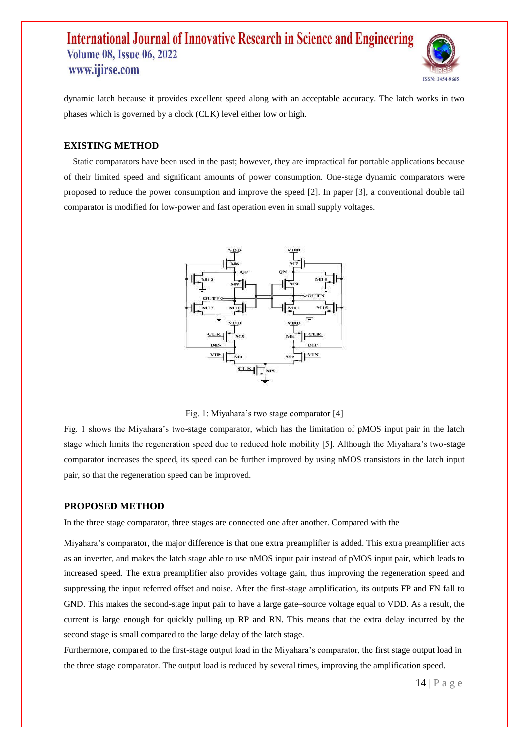

dynamic latch because it provides excellent speed along with an acceptable accuracy. The latch works in two phases which is governed by a clock (CLK) level either low or high.

#### **EXISTING METHOD**

 Static comparators have been used in the past; however, they are impractical for portable applications because of their limited speed and significant amounts of power consumption. One-stage dynamic comparators were proposed to reduce the power consumption and improve the speed [2]. In paper [3], a conventional double tail comparator is modified for low-power and fast operation even in small supply voltages.



Fig. 1: Miyahara's two stage comparator [4]

Fig. 1 shows the Miyahara's two-stage comparator, which has the limitation of pMOS input pair in the latch stage which limits the regeneration speed due to reduced hole mobility [5]. Although the Miyahara's two-stage comparator increases the speed, its speed can be further improved by using nMOS transistors in the latch input pair, so that the regeneration speed can be improved.

#### **PROPOSED METHOD**

In the three stage comparator, three stages are connected one after another. Compared with the

Miyahara's comparator, the major difference is that one extra preamplifier is added. This extra preamplifier acts as an inverter, and makes the latch stage able to use nMOS input pair instead of pMOS input pair, which leads to increased speed. The extra preamplifier also provides voltage gain, thus improving the regeneration speed and suppressing the input referred offset and noise. After the first-stage amplification, its outputs FP and FN fall to GND. This makes the second-stage input pair to have a large gate–source voltage equal to VDD. As a result, the current is large enough for quickly pulling up RP and RN. This means that the extra delay incurred by the second stage is small compared to the large delay of the latch stage.

Furthermore, compared to the first-stage output load in the Miyahara's comparator, the first stage output load in the three stage comparator. The output load is reduced by several times, improving the amplification speed.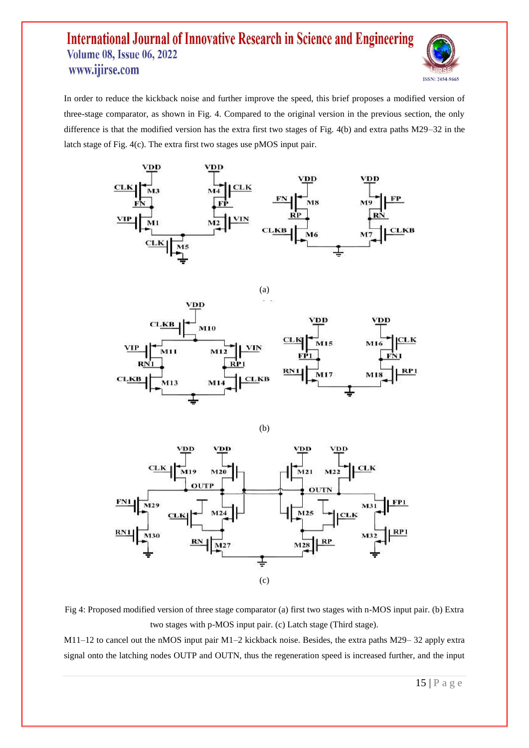

In order to reduce the kickback noise and further improve the speed, this brief proposes a modified version of three-stage comparator, as shown in Fig. 4. Compared to the original version in the previous section, the only difference is that the modified version has the extra first two stages of Fig. 4(b) and extra paths M29–32 in the latch stage of Fig. 4(c). The extra first two stages use pMOS input pair.









Fig 4: Proposed modified version of three stage comparator (a) first two stages with n-MOS input pair. (b) Extra two stages with p-MOS input pair. (c) Latch stage (Third stage).

M11–12 to cancel out the nMOS input pair M1–2 kickback noise. Besides, the extra paths M29– 32 apply extra signal onto the latching nodes OUTP and OUTN, thus the regeneration speed is increased further, and the input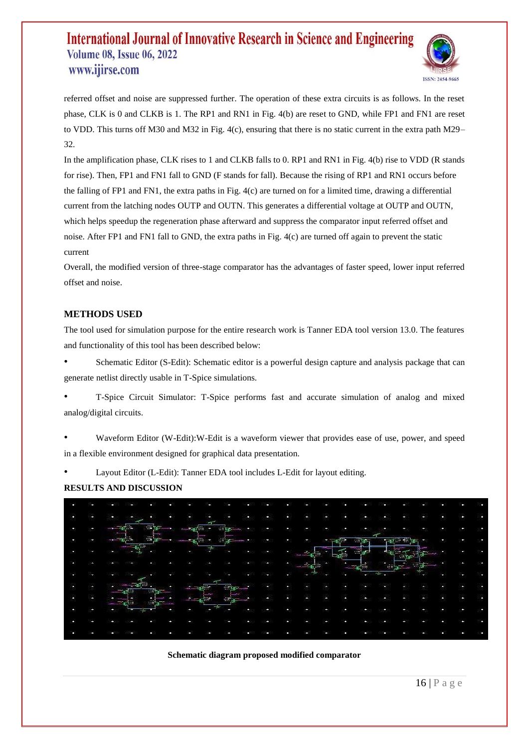

referred offset and noise are suppressed further. The operation of these extra circuits is as follows. In the reset phase, CLK is 0 and CLKB is 1. The RP1 and RN1 in Fig. 4(b) are reset to GND, while FP1 and FN1 are reset to VDD. This turns off M30 and M32 in Fig. 4(c), ensuring that there is no static current in the extra path M29– 32.

In the amplification phase, CLK rises to 1 and CLKB falls to 0. RP1 and RN1 in Fig. 4(b) rise to VDD (R stands for rise). Then, FP1 and FN1 fall to GND (F stands for fall). Because the rising of RP1 and RN1 occurs before the falling of FP1 and FN1, the extra paths in Fig. 4(c) are turned on for a limited time, drawing a differential current from the latching nodes OUTP and OUTN. This generates a differential voltage at OUTP and OUTN, which helps speedup the regeneration phase afterward and suppress the comparator input referred offset and noise. After FP1 and FN1 fall to GND, the extra paths in Fig. 4(c) are turned off again to prevent the static current

Overall, the modified version of three-stage comparator has the advantages of faster speed, lower input referred offset and noise.

### **METHODS USED**

The tool used for simulation purpose for the entire research work is Tanner EDA tool version 13.0. The features and functionality of this tool has been described below:

Schematic Editor (S-Edit): Schematic editor is a powerful design capture and analysis package that can generate netlist directly usable in T-Spice simulations.

• T-Spice Circuit Simulator: T-Spice performs fast and accurate simulation of analog and mixed analog/digital circuits.

• Waveform Editor (W-Edit):W-Edit is a waveform viewer that provides ease of use, power, and speed in a flexible environment designed for graphical data presentation.

• Layout Editor (L-Edit): Tanner EDA tool includes L-Edit for layout editing.

#### **RESULTS AND DISCUSSION**



#### **Schematic diagram proposed modified comparator**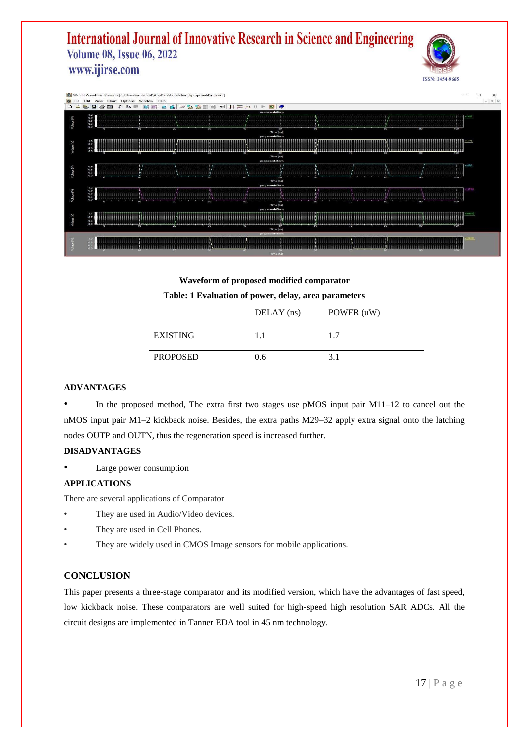



**Waveform of proposed modified comparator Table: 1 Evaluation of power, delay, area parameters**

|                 | DELAY (ns) | POWER (uW) |
|-----------------|------------|------------|
| <b>EXISTING</b> | 1.1        | 1.7        |
| <b>PROPOSED</b> | 0.6        | 3.1        |

#### **ADVANTAGES**

In the proposed method, The extra first two stages use pMOS input pair  $M11-12$  to cancel out the nMOS input pair M1–2 kickback noise. Besides, the extra paths M29–32 apply extra signal onto the latching nodes OUTP and OUTN, thus the regeneration speed is increased further.

#### **DISADVANTAGES**

• Large power consumption

#### **APPLICATIONS**

There are several applications of Comparator

- They are used in Audio/Video devices.
- They are used in Cell Phones.
- They are widely used in CMOS Image sensors for mobile applications.

#### **CONCLUSION**

This paper presents a three-stage comparator and its modified version, which have the advantages of fast speed, low kickback noise. These comparators are well suited for high-speed high resolution SAR ADCs. All the circuit designs are implemented in Tanner EDA tool in 45 nm technology.